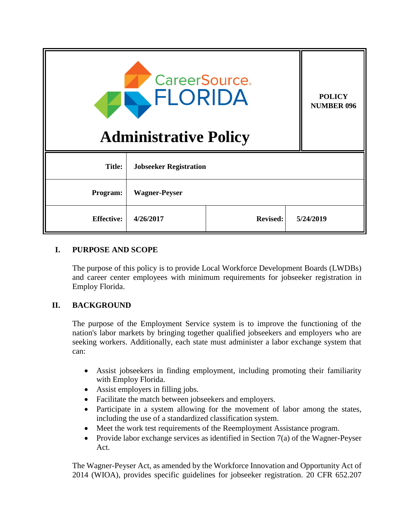| <b>CareerSource</b> .<br>FLORIDA<br><b>Administrative Policy</b> |                               |                 |  | <b>POLICY</b><br><b>NUMBER 096</b> |
|------------------------------------------------------------------|-------------------------------|-----------------|--|------------------------------------|
| <b>Title:</b>                                                    | <b>Jobseeker Registration</b> |                 |  |                                    |
| <b>Program:</b>                                                  | <b>Wagner-Peyser</b>          |                 |  |                                    |
| <b>Effective:</b>                                                | 4/26/2017                     | <b>Revised:</b> |  | 5/24/2019                          |

#### **I. PURPOSE AND SCOPE**

The purpose of this policy is to provide Local Workforce Development Boards (LWDBs) and career center employees with minimum requirements for jobseeker registration in Employ Florida.

## **II. BACKGROUND**

The purpose of the Employment Service system is to improve the functioning of the nation's labor markets by bringing together qualified jobseekers and employers who are seeking workers. Additionally, each state must administer a labor exchange system that can:

- Assist jobseekers in finding employment, including promoting their familiarity with Employ Florida.
- Assist employers in filling jobs.
- Facilitate the match between jobseekers and employers.
- Participate in a system allowing for the movement of labor among the states, including the use of a standardized classification system.
- Meet the work test requirements of the Reemployment Assistance program.
- Provide labor exchange services as identified in Section  $7(a)$  of the Wagner-Peyser Act.

The Wagner-Peyser Act, as amended by the Workforce Innovation and Opportunity Act of 2014 (WIOA), provides specific guidelines for jobseeker registration. 20 CFR 652.207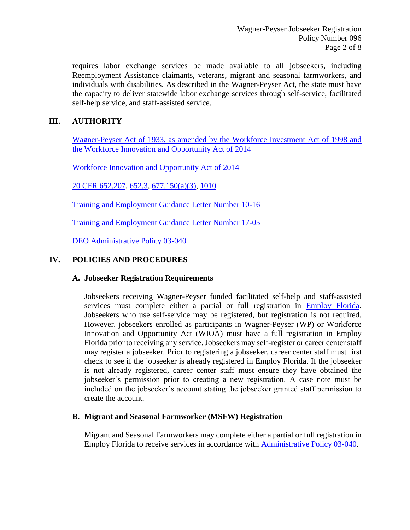requires labor exchange services be made available to all jobseekers, including Reemployment Assistance claimants, veterans, migrant and seasonal farmworkers, and individuals with disabilities. As described in the Wagner-Peyser Act, the state must have the capacity to deliver statewide labor exchange services through self-service, facilitated self-help service, and staff-assisted service.

# **III. AUTHORITY**

Wagner-Peyser Act of 1933, as amended by the Workforce Investment Act of 1998 and the Workforce Innovation and Opportunity Act of 2014

Workforce Innovation and Opportunity Act of 2014

20 CFR 652.207, 652.3, 677.150(a)(3), 1010

Training and Employment Guidance Letter Number 10-16

Training and Employment Guidance Letter Number 17-05

DEO Administrative Policy 03-040

# **IV. POLICIES AND PROCEDURES**

## **A. Jobseeker Registration Requirements**

Jobseekers receiving Wagner-Peyser funded facilitated self-help and staff-assisted services must complete either a partial or full registration in Employ Florida. Jobseekers who use self-service may be registered, but registration is not required. However, jobseekers enrolled as participants in Wagner-Peyser (WP) or Workforce Innovation and Opportunity Act (WIOA) must have a full registration in Employ Florida prior to receiving any service. Jobseekers may self-register or career center staff may register a jobseeker. Prior to registering a jobseeker, career center staff must first check to see if the jobseeker is already registered in Employ Florida. If the jobseeker is not already registered, career center staff must ensure they have obtained the jobseeker's permission prior to creating a new registration. A case note must be included on the jobseeker's account stating the jobseeker granted staff permission to create the account.

## **B. Migrant and Seasonal Farmworker (MSFW) Registration**

Migrant and Seasonal Farmworkers may complete either a partial or full registration in Employ Florida to receive services in accordance with Administrative Policy 03-040.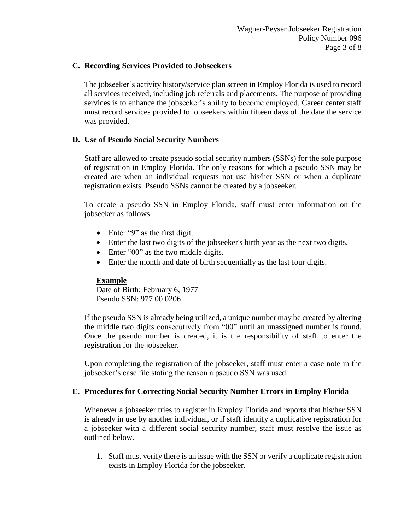#### **C. Recording Services Provided to Jobseekers**

The jobseeker's activity history/service plan screen in Employ Florida is used to record all services received, including job referrals and placements. The purpose of providing services is to enhance the jobseeker's ability to become employed. Career center staff must record services provided to jobseekers within fifteen days of the date the service was provided.

#### **D. Use of Pseudo Social Security Numbers**

Staff are allowed to create pseudo social security numbers (SSNs) for the sole purpose of registration in Employ Florida. The only reasons for which a pseudo SSN may be created are when an individual requests not use his/her SSN or when a duplicate registration exists. Pseudo SSNs cannot be created by a jobseeker.

To create a pseudo SSN in Employ Florida, staff must enter information on the jobseeker as follows:

- Enter "9" as the first digit.
- Enter the last two digits of the jobseeker's birth year as the next two digits.
- Enter "00" as the two middle digits.
- Enter the month and date of birth sequentially as the last four digits.

## **Example**

Date of Birth: February 6, 1977 Pseudo SSN: 977 00 0206

If the pseudo SSN is already being utilized, a unique number may be created by altering the middle two digits consecutively from "00" until an unassigned number is found. Once the pseudo number is created, it is the responsibility of staff to enter the registration for the jobseeker.

Upon completing the registration of the jobseeker, staff must enter a case note in the jobseeker's case file stating the reason a pseudo SSN was used.

## **E. Procedures for Correcting Social Security Number Errors in Employ Florida**

Whenever a jobseeker tries to register in Employ Florida and reports that his/her SSN is already in use by another individual, or if staff identify a duplicative registration for a jobseeker with a different social security number, staff must resolve the issue as outlined below.

1. Staff must verify there is an issue with the SSN or verify a duplicate registration exists in Employ Florida for the jobseeker.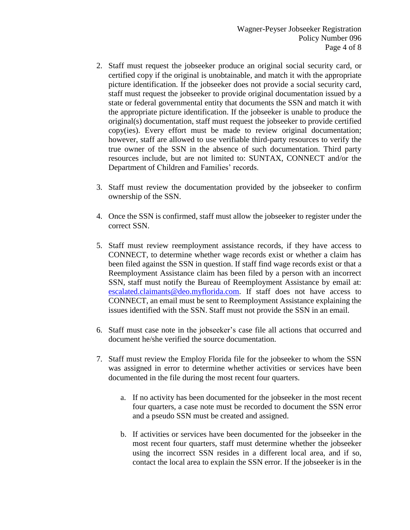- 2. Staff must request the jobseeker produce an original social security card, or certified copy if the original is unobtainable, and match it with the appropriate picture identification. If the jobseeker does not provide a social security card, staff must request the jobseeker to provide original documentation issued by a state or federal governmental entity that documents the SSN and match it with the appropriate picture identification. If the jobseeker is unable to produce the original(s) documentation, staff must request the jobseeker to provide certified copy(ies). Every effort must be made to review original documentation; however, staff are allowed to use verifiable third-party resources to verify the true owner of the SSN in the absence of such documentation. Third party resources include, but are not limited to: SUNTAX, CONNECT and/or the Department of Children and Families' records.
- 3. Staff must review the documentation provided by the jobseeker to confirm ownership of the SSN.
- 4. Once the SSN is confirmed, staff must allow the jobseeker to register under the correct SSN.
- 5. Staff must review reemployment assistance records, if they have access to CONNECT, to determine whether wage records exist or whether a claim has been filed against the SSN in question. If staff find wage records exist or that a Reemployment Assistance claim has been filed by a person with an incorrect SSN, staff must notify the Bureau of Reemployment Assistance by email at: escalated.claimants@deo.myflorida.com. If staff does not have access to CONNECT, an email must be sent to Reemployment Assistance explaining the issues identified with the SSN. Staff must not provide the SSN in an email.
- 6. Staff must case note in the jobseeker's case file all actions that occurred and document he/she verified the source documentation.
- 7. Staff must review the Employ Florida file for the jobseeker to whom the SSN was assigned in error to determine whether activities or services have been documented in the file during the most recent four quarters.
	- a. If no activity has been documented for the jobseeker in the most recent four quarters, a case note must be recorded to document the SSN error and a pseudo SSN must be created and assigned.
	- b. If activities or services have been documented for the jobseeker in the most recent four quarters, staff must determine whether the jobseeker using the incorrect SSN resides in a different local area, and if so, contact the local area to explain the SSN error. If the jobseeker is in the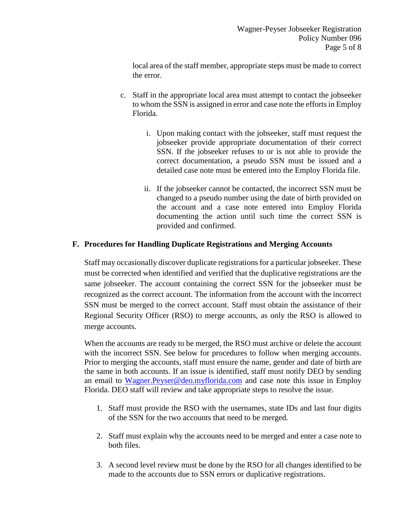local area of the staff member, appropriate steps must be made to correct the error.

- c. Staff in the appropriate local area must attempt to contact the jobseeker to whom the SSN is assigned in error and case note the efforts in Employ Florida.
	- i. Upon making contact with the jobseeker, staff must request the jobseeker provide appropriate documentation of their correct SSN. If the jobseeker refuses to or is not able to provide the correct documentation, a pseudo SSN must be issued and a detailed case note must be entered into the Employ Florida file.
	- ii. If the jobseeker cannot be contacted, the incorrect SSN must be changed to a pseudo number using the date of birth provided on the account and a case note entered into Employ Florida documenting the action until such time the correct SSN is provided and confirmed.

## **F. Procedures for Handling Duplicate Registrations and Merging Accounts**

Staff may occasionally discover duplicate registrations for a particular jobseeker. These must be corrected when identified and verified that the duplicative registrations are the same jobseeker. The account containing the correct SSN for the jobseeker must be recognized as the correct account. The information from the account with the incorrect SSN must be merged to the correct account. Staff must obtain the assistance of their Regional Security Officer (RSO) to merge accounts, as only the RSO is allowed to merge accounts.

When the accounts are ready to be merged, the RSO must archive or delete the account with the incorrect SSN. See below for procedures to follow when merging accounts. Prior to merging the accounts, staff must ensure the name, gender and date of birth are the same in both accounts. If an issue is identified, staff must notify DEO by sending an email to Wagner.Peyser@deo.myflorida.com and case note this issue in Employ Florida. DEO staff will review and take appropriate steps to resolve the issue.

- 1. Staff must provide the RSO with the usernames, state IDs and last four digits of the SSN for the two accounts that need to be merged.
- 2. Staff must explain why the accounts need to be merged and enter a case note to both files.
- 3. A second level review must be done by the RSO for all changes identified to be made to the accounts due to SSN errors or duplicative registrations.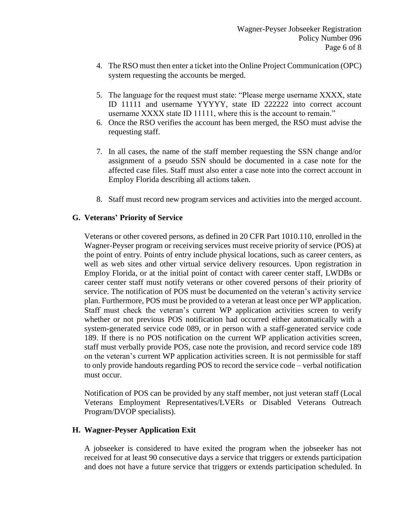- 4. The RSO must then enter a ticket into the Online Project Communication (OPC) system requesting the accounts be merged.
- 5. The language for the request must state: "Please merge username XXXX, state ID 11111 and username YYYYY, state ID 222222 into correct account username XXXX state ID 11111, where this is the account to remain."
- 6. Once the RSO verifies the account has been merged, the RSO must advise the requesting staff.
- 7. In all cases, the name of the staff member requesting the SSN change and/or assignment of a pseudo SSN should be documented in a case note for the affected case files. Staff must also enter a case note into the correct account in Employ Florida describing all actions taken.
- 8. Staff must record new program services and activities into the merged account.

#### **G. Veterans' Priority of Service**

Veterans or other covered persons, as defined in 20 CFR Part 1010.110, enrolled in the Wagner-Peyser program or receiving services must receive priority of service (POS) at the point of entry. Points of entry include physical locations, such as career centers, as well as web sites and other virtual service delivery resources. Upon registration in Employ Florida, or at the initial point of contact with career center staff, LWDBs or career center staff must notify veterans or other covered persons of their priority of service. The notification of POS must be documented on the veteran's activity service plan. Furthermore, POS must be provided to a veteran at least once per WP application. Staff must check the veteran's current WP application activities screen to verify whether or not previous POS notification had occurred either automatically with a system-generated service code 089, or in person with a staff-generated service code 189. If there is no POS notification on the current WP application activities screen, staff must verbally provide POS, case note the provision, and record service code 189 on the veteran's current WP application activities screen. It is not permissible for staff to only provide handouts regarding POS to record the service code – verbal notification must occur.

Notification of POS can be provided by any staff member, not just veteran staff (Local Veterans Employment Representatives/LVERs or Disabled Veterans Outreach Program/DVOP specialists).

#### **H. Wagner-Peyser Application Exit**

A jobseeker is considered to have exited the program when the jobseeker has not received for at least 90 consecutive days a service that triggers or extends participation and does not have a future service that triggers or extends participation scheduled. In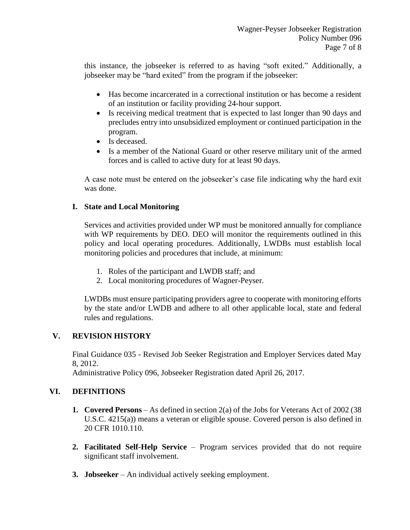this instance, the jobseeker is referred to as having "soft exited." Additionally, a jobseeker may be "hard exited" from the program if the jobseeker:

- Has become incarcerated in a correctional institution or has become a resident of an institution or facility providing 24-hour support.
- Is receiving medical treatment that is expected to last longer than 90 days and precludes entry into unsubsidized employment or continued participation in the program.
- Is deceased.
- Is a member of the National Guard or other reserve military unit of the armed forces and is called to active duty for at least 90 days.

A case note must be entered on the jobseeker's case file indicating why the hard exit was done.

# **I. State and Local Monitoring**

Services and activities provided under WP must be monitored annually for compliance with WP requirements by DEO. DEO will monitor the requirements outlined in this policy and local operating procedures. Additionally, LWDBs must establish local monitoring policies and procedures that include, at minimum:

- 1. Roles of the participant and LWDB staff; and
- 2. Local monitoring procedures of Wagner-Peyser.

LWDBs must ensure participating providers agree to cooperate with monitoring efforts by the state and/or LWDB and adhere to all other applicable local, state and federal rules and regulations.

## **V. REVISION HISTORY**

Final Guidance 035 - Revised Job Seeker Registration and Employer Services dated May 8, 2012.

Administrative Policy 096, Jobseeker Registration dated April 26, 2017.

# **VI. DEFINITIONS**

- **1. Covered Persons** As defined in section 2(a) of the Jobs for Veterans Act of 2002 (38 U.S.C. 4215(a)) means a veteran or eligible spouse. Covered person is also defined in 20 CFR 1010.110.
- **2. Facilitated Self-Help Service** Program services provided that do not require significant staff involvement.
- **3. Jobseeker** An individual actively seeking employment.